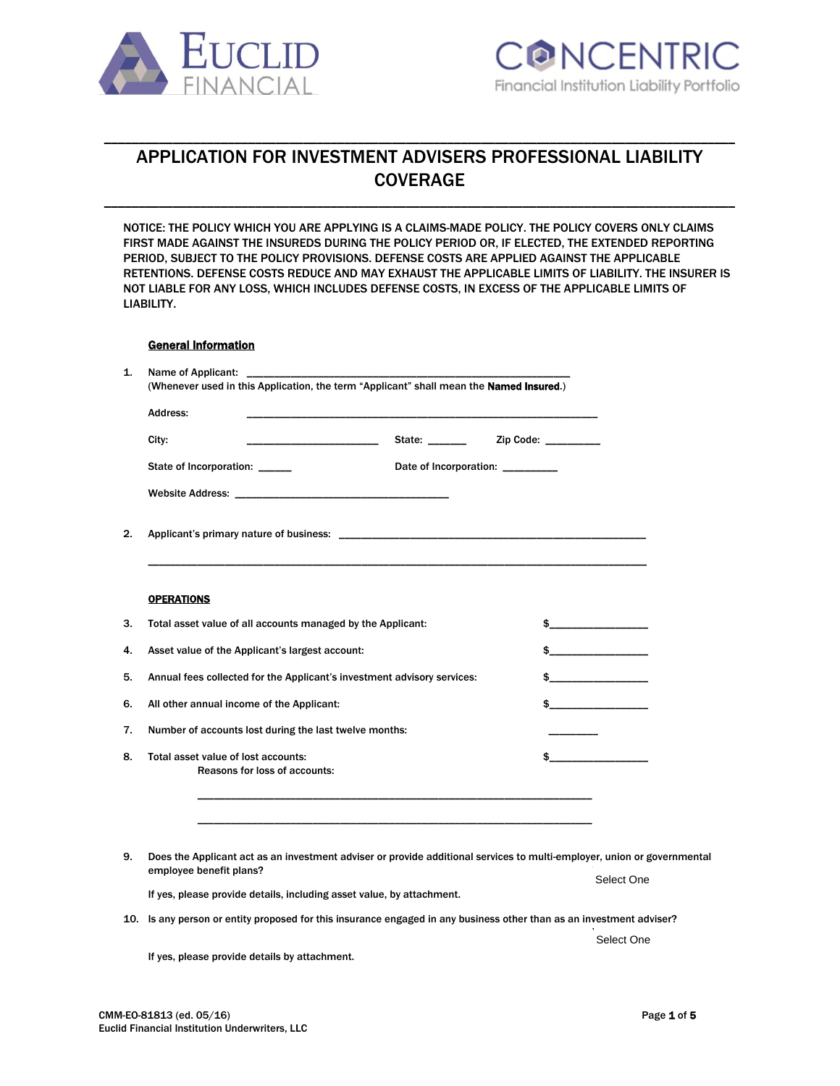



# APPLICATION FOR INVESTMENT ADVISERS PROFESSIONAL LIABILITY **COVERAGE**

\_\_\_\_\_\_\_\_\_\_\_\_\_\_\_\_\_\_\_\_\_\_\_\_\_\_\_\_\_\_\_\_\_\_\_\_\_\_\_\_\_\_\_\_\_\_\_\_\_\_\_\_\_\_\_\_\_\_\_\_\_\_\_\_\_\_\_\_\_\_\_\_\_\_\_\_\_\_\_\_\_\_\_\_\_\_\_\_\_\_\_\_

\_\_\_\_\_\_\_\_\_\_\_\_\_\_\_\_\_\_\_\_\_\_\_\_\_\_\_\_\_\_\_\_\_\_\_\_\_\_\_\_\_\_\_\_\_\_\_\_\_\_\_\_\_\_\_\_\_\_\_\_\_\_\_\_\_\_\_\_\_\_\_\_\_\_\_\_\_\_\_\_\_\_\_\_\_\_\_\_\_\_\_\_

NOTICE: THE POLICY WHICH YOU ARE APPLYING IS A CLAIMS-MADE POLICY. THE POLICY COVERS ONLY CLAIMS FIRST MADE AGAINST THE INSUREDS DURING THE POLICY PERIOD OR, IF ELECTED, THE EXTENDED REPORTING PERIOD, SUBJECT TO THE POLICY PROVISIONS. DEFENSE COSTS ARE APPLIED AGAINST THE APPLICABLE RETENTIONS. DEFENSE COSTS REDUCE AND MAY EXHAUST THE APPLICABLE LIMITS OF LIABILITY. THE INSURER IS NOT LIABLE FOR ANY LOSS, WHICH INCLUDES DEFENSE COSTS, IN EXCESS OF THE APPLICABLE LIMITS OF LIABILITY.

## General Information

| City:                                                                   |                                                                                                                |                                                                                                                                                                                                                                                                                                                     |
|-------------------------------------------------------------------------|----------------------------------------------------------------------------------------------------------------|---------------------------------------------------------------------------------------------------------------------------------------------------------------------------------------------------------------------------------------------------------------------------------------------------------------------|
| State of Incorporation: ______                                          | Date of Incorporation: _________                                                                               |                                                                                                                                                                                                                                                                                                                     |
|                                                                         |                                                                                                                |                                                                                                                                                                                                                                                                                                                     |
|                                                                         | Applicant's primary nature of business: Application of the state of the state of the state of the state of the |                                                                                                                                                                                                                                                                                                                     |
| <b>OPERATIONS</b>                                                       |                                                                                                                |                                                                                                                                                                                                                                                                                                                     |
| Total asset value of all accounts managed by the Applicant:             |                                                                                                                | $\sim$ $\sim$                                                                                                                                                                                                                                                                                                       |
|                                                                         |                                                                                                                | $\frac{1}{2}$ $\frac{1}{2}$ $\frac{1}{2}$ $\frac{1}{2}$ $\frac{1}{2}$ $\frac{1}{2}$ $\frac{1}{2}$ $\frac{1}{2}$ $\frac{1}{2}$ $\frac{1}{2}$ $\frac{1}{2}$ $\frac{1}{2}$ $\frac{1}{2}$ $\frac{1}{2}$ $\frac{1}{2}$ $\frac{1}{2}$ $\frac{1}{2}$ $\frac{1}{2}$ $\frac{1}{2}$ $\frac{1}{2}$ $\frac{1}{2}$ $\frac{1}{2}$ |
| Asset value of the Applicant's largest account:                         |                                                                                                                |                                                                                                                                                                                                                                                                                                                     |
| Annual fees collected for the Applicant's investment advisory services: |                                                                                                                |                                                                                                                                                                                                                                                                                                                     |
| All other annual income of the Applicant:                               |                                                                                                                | $\sim$ $\sim$<br>$\sim$ $\sim$                                                                                                                                                                                                                                                                                      |
| Number of accounts lost during the last twelve months:                  |                                                                                                                |                                                                                                                                                                                                                                                                                                                     |

9. Does the Applicant act as an investment adviser or provide additional services to multi-employer, union or governmental employee benefit plans? If yes, please provide details, including asset value, by attachment. Select One

10. Is any person or entity proposed for this insurance engaged in any business other than as an investment adviser?

\_\_\_\_\_\_\_\_\_\_\_\_\_\_\_\_\_\_\_\_\_\_\_\_\_\_\_\_\_\_\_\_\_\_\_\_\_\_\_\_\_\_\_\_\_\_\_\_\_\_\_\_\_\_\_\_\_\_\_\_\_\_\_\_\_\_\_\_\_\_\_\_

.<br>Select One

If yes, please provide details by attachment.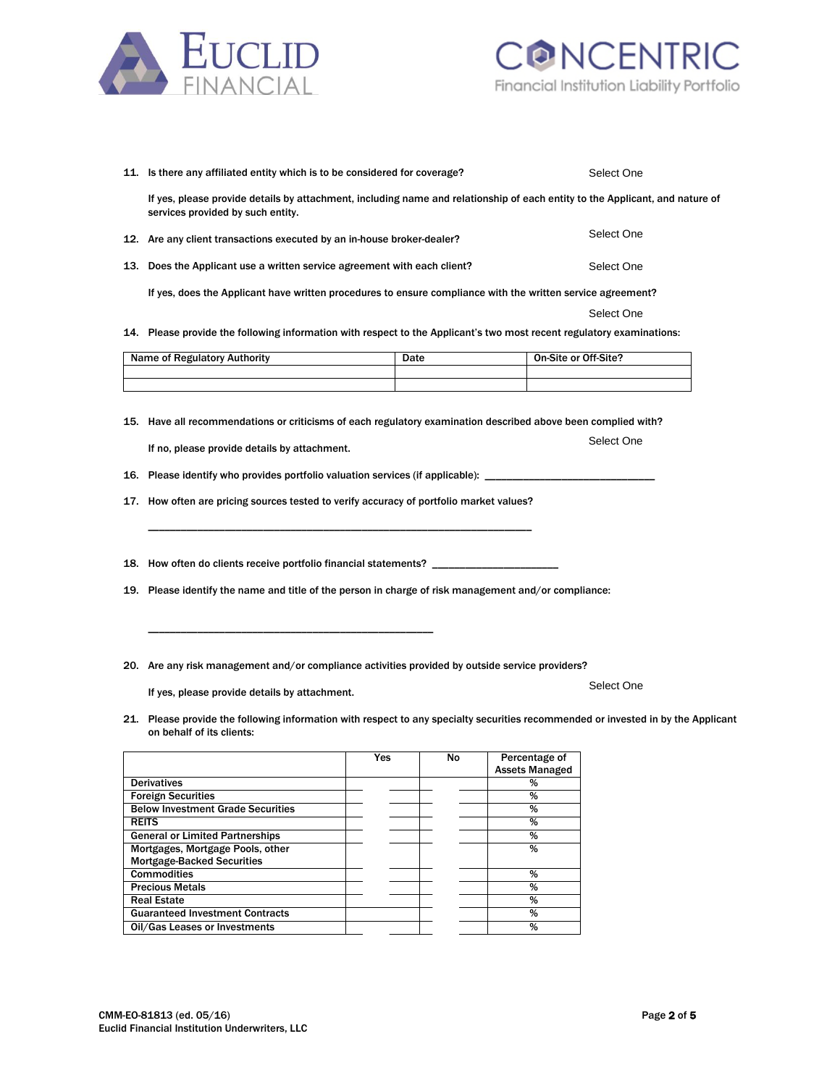



| 11. Is there any affiliated entity which is to be considered for coverage?                                                                                                               | Select One |      |                       |            |  |
|------------------------------------------------------------------------------------------------------------------------------------------------------------------------------------------|------------|------|-----------------------|------------|--|
| If yes, please provide details by attachment, including name and relationship of each entity to the Applicant, and nature of<br>services provided by such entity.                        |            |      |                       |            |  |
| 12. Are any client transactions executed by an in-house broker-dealer?                                                                                                                   |            |      |                       | Select One |  |
| 13. Does the Applicant use a written service agreement with each client?                                                                                                                 |            |      |                       | Select One |  |
| If yes, does the Applicant have written procedures to ensure compliance with the written service agreement?                                                                              |            |      |                       |            |  |
|                                                                                                                                                                                          |            |      |                       | Select One |  |
| 14. Please provide the following information with respect to the Applicant's two most recent regulatory examinations:                                                                    |            |      |                       |            |  |
| <b>Name of Regulatory Authority</b>                                                                                                                                                      |            | Date | On-Site or Off-Site?  |            |  |
|                                                                                                                                                                                          |            |      |                       |            |  |
|                                                                                                                                                                                          |            |      |                       |            |  |
| 15. Have all recommendations or criticisms of each regulatory examination described above been complied with?                                                                            |            |      |                       | Select One |  |
| If no, please provide details by attachment.                                                                                                                                             |            |      |                       |            |  |
| 16. Please identify who provides portfolio valuation services (if applicable): ___                                                                                                       |            |      |                       |            |  |
| 17. How often are pricing sources tested to verify accuracy of portfolio market values?                                                                                                  |            |      |                       |            |  |
| 18. How often do clients receive portfolio financial statements? _______________<br>19. Please identify the name and title of the person in charge of risk management and/or compliance: |            |      |                       |            |  |
| 20. Are any risk management and/or compliance activities provided by outside service providers?                                                                                          |            |      |                       |            |  |
| If yes, please provide details by attachment.                                                                                                                                            |            |      |                       | Select One |  |
| 21. Please provide the following information with respect to any specialty securities recommended or invested in by the Applicant<br>on behalf of its clients:                           |            |      |                       |            |  |
|                                                                                                                                                                                          | Yes        | No   | Percentage of         |            |  |
|                                                                                                                                                                                          |            |      | <b>Assets Managed</b> |            |  |
| <b>Derivatives</b>                                                                                                                                                                       |            |      | %                     |            |  |
| <b>Foreign Securities</b>                                                                                                                                                                |            |      | %                     |            |  |
| <b>Below Investment Grade Securities</b>                                                                                                                                                 |            |      | %                     |            |  |
| <b>REITS</b>                                                                                                                                                                             |            |      | %                     |            |  |
| <b>General or Limited Partnerships</b>                                                                                                                                                   |            |      | %                     |            |  |

| <b>Mortgage-Backed Securities</b>      |  |  |
|----------------------------------------|--|--|
| <b>Commodities</b>                     |  |  |
| <b>Precious Metals</b>                 |  |  |
| <b>Real Estate</b>                     |  |  |
| <b>Guaranteed Investment Contracts</b> |  |  |
| Oil/Gas Leases or Investments          |  |  |

**General or Limited Partnerships** Mortgages, Mortgage Pools, other  $\frac{1}{\%}$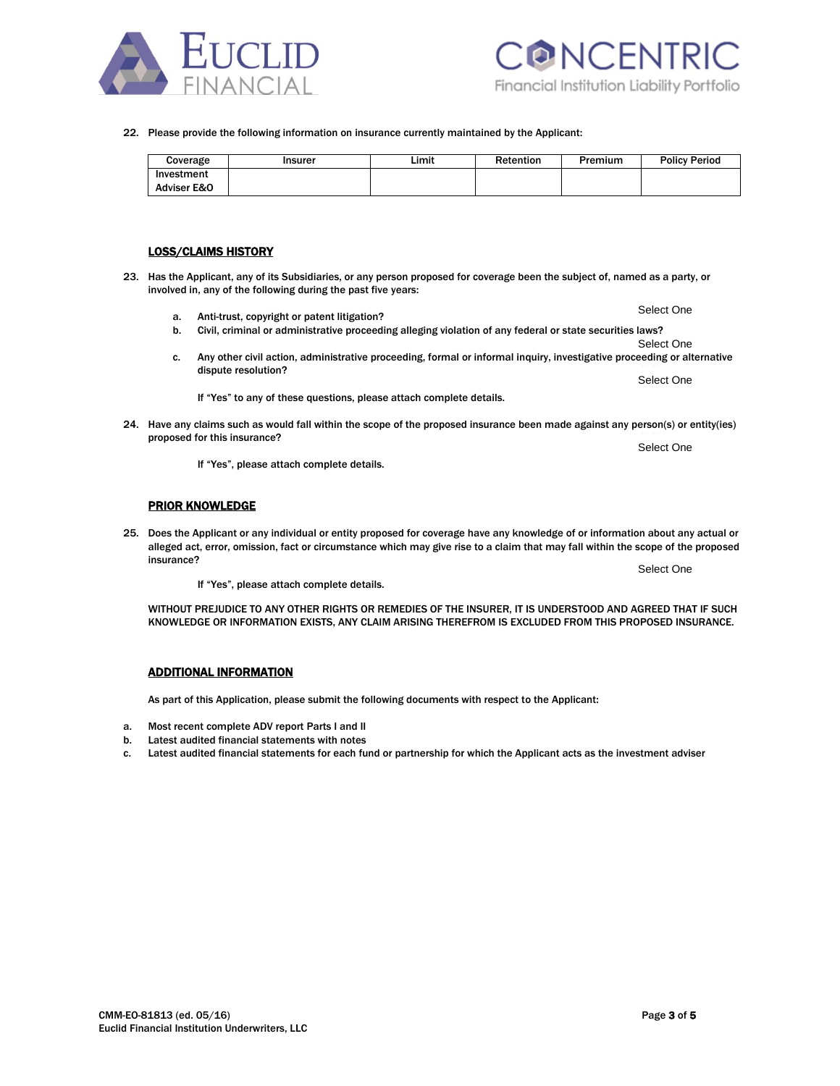



22. Please provide the following information on insurance currently maintained by the Applicant:

| Coverage    | Insurer | Limit | Retention | Premium | <b>Policy Period</b> |
|-------------|---------|-------|-----------|---------|----------------------|
| Investment  |         |       |           |         |                      |
| Adviser E&O |         |       |           |         |                      |

#### LOSS/CLAIMS HISTORY

- 23. Has the Applicant, any of its Subsidiaries, or any person proposed for coverage been the subject of, named as a party, or involved in, any of the following during the past five years:
	- a. Anti-trust, copyright or patent litigation?
	- b. Civil, criminal or administrative proceeding alleging violation of any federal or state securities laws?
	- Select One c. Any other civil action, administrative proceeding, formal or informal inquiry, investigative proceeding or alternative dispute resolution?

If "Yes" to any of these questions, please attach complete details.

24. Have any claims such as would fall within the scope of the proposed insurance been made against any person(s) or entity(ies) proposed for this insurance?

If "Yes", please attach complete details.

## PRIOR KNOWLEDGE

25. Does the Applicant or any individual or entity proposed for coverage have any knowledge of or information about any actual or alleged act, error, omission, fact or circumstance which may give rise to a claim that may fall within the scope of the proposed  $\blacksquare$ insurance?  $\blacksquare$ 

If "Yes", please attach complete details.

WITHOUT PREJUDICE TO ANY OTHER RIGHTS OR REMEDIES OF THE INSURER. IT IS UNDERSTOOD AND AGREED THAT IF SUCH KNOWLEDGE OR INFORMATION EXISTS, ANY CLAIM ARISING THEREFROM IS EXCLUDED FROM THIS PROPOSED INSURANCE.

### ADDITIONAL INFORMATION

Euclid Financial Institution Underwriters, LLC

As part of this Application, please submit the following documents with respect to the Applicant:

- a. Most recent complete ADV report Parts I and II
- b. Latest audited financial statements with notes
- c. Latest audited financial statements for each fund or partnership for which the Applicant acts as the investment adviser

Select One

Select One

Select One

Select One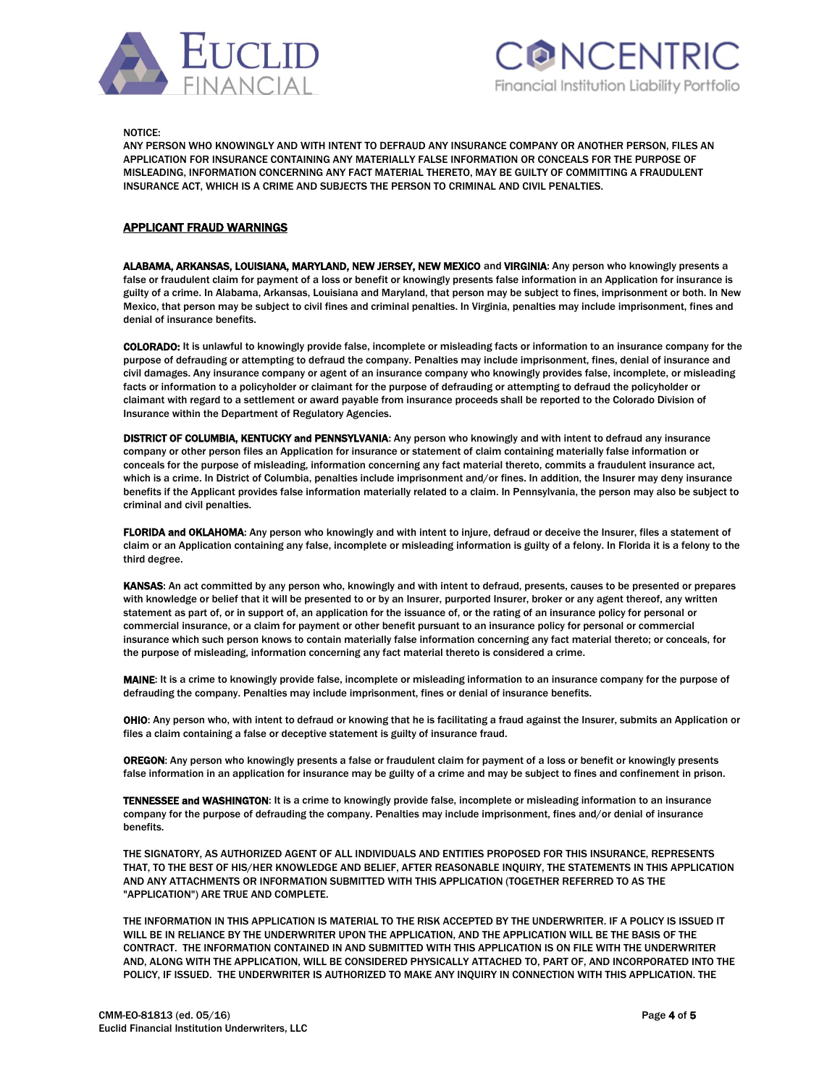



NOTICE:

ANY PERSON WHO KNOWINGLY AND WITH INTENT TO DEFRAUD ANY INSURANCE COMPANY OR ANOTHER PERSON, FILES AN APPLICATION FOR INSURANCE CONTAINING ANY MATERIALLY FALSE INFORMATION OR CONCEALS FOR THE PURPOSE OF MISLEADING, INFORMATION CONCERNING ANY FACT MATERIAL THERETO, MAY BE GUILTY OF COMMITTING A FRAUDULENT INSURANCE ACT, WHICH IS A CRIME AND SUBJECTS THE PERSON TO CRIMINAL AND CIVIL PENALTIES.

## APPLICANT FRAUD WARNINGS

ALABAMA, ARKANSAS, LOUISIANA, MARYLAND, NEW JERSEY, NEW MEXICO and VIRGINIA: Any person who knowingly presents a false or fraudulent claim for payment of a loss or benefit or knowingly presents false information in an Application for insurance is guilty of a crime. In Alabama, Arkansas, Louisiana and Maryland, that person may be subject to fines, imprisonment or both. In New Mexico, that person may be subject to civil fines and criminal penalties. In Virginia, penalties may include imprisonment, fines and denial of insurance benefits.

COLORADO: It is unlawful to knowingly provide false, incomplete or misleading facts or information to an insurance company for the purpose of defrauding or attempting to defraud the company. Penalties may include imprisonment, fines, denial of insurance and civil damages. Any insurance company or agent of an insurance company who knowingly provides false, incomplete, or misleading facts or information to a policyholder or claimant for the purpose of defrauding or attempting to defraud the policyholder or claimant with regard to a settlement or award payable from insurance proceeds shall be reported to the Colorado Division of Insurance within the Department of Regulatory Agencies.

DISTRICT OF COLUMBIA, KENTUCKY and PENNSYLVANIA: Any person who knowingly and with intent to defraud any insurance company or other person files an Application for insurance or statement of claim containing materially false information or conceals for the purpose of misleading, information concerning any fact material thereto, commits a fraudulent insurance act, which is a crime. In District of Columbia, penalties include imprisonment and/or fines. In addition, the Insurer may deny insurance benefits if the Applicant provides false information materially related to a claim. In Pennsylvania, the person may also be subject to criminal and civil penalties.

FLORIDA and OKLAHOMA: Any person who knowingly and with intent to injure, defraud or deceive the Insurer, files a statement of claim or an Application containing any false, incomplete or misleading information is guilty of a felony. In Florida it is a felony to the third degree.

KANSAS: An act committed by any person who, knowingly and with intent to defraud, presents, causes to be presented or prepares with knowledge or belief that it will be presented to or by an Insurer, purported Insurer, broker or any agent thereof, any written statement as part of, or in support of, an application for the issuance of, or the rating of an insurance policy for personal or commercial insurance, or a claim for payment or other benefit pursuant to an insurance policy for personal or commercial insurance which such person knows to contain materially false information concerning any fact material thereto; or conceals, for the purpose of misleading, information concerning any fact material thereto is considered a crime.

MAINE: It is a crime to knowingly provide false, incomplete or misleading information to an insurance company for the purpose of defrauding the company. Penalties may include imprisonment, fines or denial of insurance benefits.

OHIO: Any person who, with intent to defraud or knowing that he is facilitating a fraud against the Insurer, submits an Application or files a claim containing a false or deceptive statement is guilty of insurance fraud.

OREGON: Any person who knowingly presents a false or fraudulent claim for payment of a loss or benefit or knowingly presents false information in an application for insurance may be guilty of a crime and may be subject to fines and confinement in prison.

TENNESSEE and WASHINGTON: It is a crime to knowingly provide false, incomplete or misleading information to an insurance company for the purpose of defrauding the company. Penalties may include imprisonment, fines and/or denial of insurance benefits.

THE SIGNATORY, AS AUTHORIZED AGENT OF ALL INDIVIDUALS AND ENTITIES PROPOSED FOR THIS INSURANCE, REPRESENTS THAT, TO THE BEST OF HIS/HER KNOWLEDGE AND BELIEF, AFTER REASONABLE INQUIRY, THE STATEMENTS IN THIS APPLICATION AND ANY ATTACHMENTS OR INFORMATION SUBMITTED WITH THIS APPLICATION (TOGETHER REFERRED TO AS THE "APPLICATION") ARE TRUE AND COMPLETE.

THE INFORMATION IN THIS APPLICATION IS MATERIAL TO THE RISK ACCEPTED BY THE UNDERWRITER. IF A POLICY IS ISSUED IT WILL BE IN RELIANCE BY THE UNDERWRITER UPON THE APPLICATION, AND THE APPLICATION WILL BE THE BASIS OF THE CONTRACT. THE INFORMATION CONTAINED IN AND SUBMITTED WITH THIS APPLICATION IS ON FILE WITH THE UNDERWRITER AND, ALONG WITH THE APPLICATION, WILL BE CONSIDERED PHYSICALLY ATTACHED TO, PART OF, AND INCORPORATED INTO THE POLICY, IF ISSUED. THE UNDERWRITER IS AUTHORIZED TO MAKE ANY INQUIRY IN CONNECTION WITH THIS APPLICATION. THE